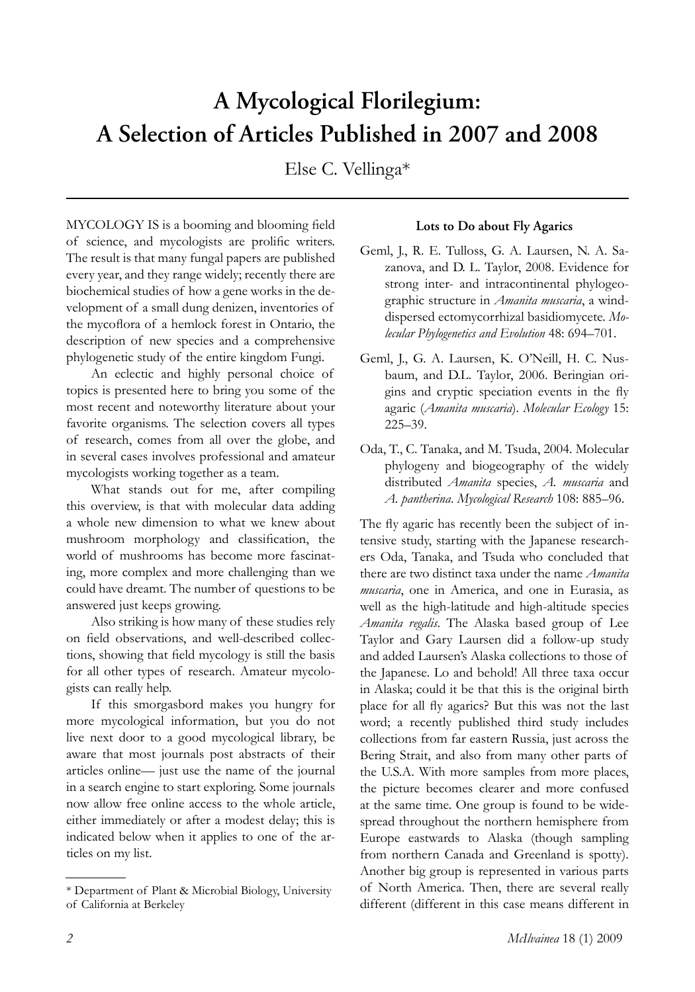# **A Mycological Florilegium: A Selection of Articles Published in 2007 and 2008**

Else C. Vellinga\*

MYCOLOGY IS is a booming and blooming field of science, and mycologists are prolific writers. The result is that many fungal papers are published every year, and they range widely; recently there are biochemical studies of how a gene works in the development of a small dung denizen, inventories of the mycoflora of a hemlock forest in Ontario, the description of new species and a comprehensive phylogenetic study of the entire kingdom Fungi.

An eclectic and highly personal choice of topics is presented here to bring you some of the most recent and noteworthy literature about your favorite organisms. The selection covers all types of research, comes from all over the globe, and in several cases involves professional and amateur mycologists working together as a team.

What stands out for me, after compiling this overview, is that with molecular data adding a whole new dimension to what we knew about mushroom morphology and classification, the world of mushrooms has become more fascinating, more complex and more challenging than we could have dreamt. The number of questions to be answered just keeps growing.

Also striking is how many of these studies rely on field observations, and well-described collections, showing that field mycology is still the basis for all other types of research. Amateur mycologists can really help.

If this smorgasbord makes you hungry for more mycological information, but you do not live next door to a good mycological library, be aware that most journals post abstracts of their articles online— just use the name of the journal in a search engine to start exploring. Some journals now allow free online access to the whole article, either immediately or after a modest delay; this is indicated below when it applies to one of the articles on my list.

# **Lots to Do about Fly Agarics**

- Geml, J., R. E. Tulloss, G. A. Laursen, N. A. Sazanova, and D. L. Taylor, 2008. Evidence for strong inter- and intracontinental phylogeographic structure in *Amanita muscaria*, a winddispersed ectomycorrhizal basidiomycete. *Molecular Phylogenetics and Evolution* 48: 694–701.
- Geml, J., G. A. Laursen, K. O'Neill, H. C. Nusbaum, and D.L. Taylor, 2006. Beringian origins and cryptic speciation events in the fly agaric (*Amanita muscaria*). *Molecular Ecology* 15: 225–39.
- Oda, T., C. Tanaka, and M. Tsuda, 2004. Molecular phylogeny and biogeography of the widely distributed *Amanita* species, *A. muscaria* and *A. pantherina*. *Mycological Research* 108: 885–96.

The fly agaric has recently been the subject of intensive study, starting with the Japanese researchers Oda, Tanaka, and Tsuda who concluded that there are two distinct taxa under the name *Amanita muscaria*, one in America, and one in Eurasia, as well as the high-latitude and high-altitude species *Amanita regalis*. The Alaska based group of Lee Taylor and Gary Laursen did a follow-up study and added Laursen's Alaska collections to those of the Japanese. Lo and behold! All three taxa occur in Alaska; could it be that this is the original birth place for all fly agarics? But this was not the last word; a recently published third study includes collections from far eastern Russia, just across the Bering Strait, and also from many other parts of the U.S.A. With more samples from more places, the picture becomes clearer and more confused at the same time. One group is found to be widespread throughout the northern hemisphere from Europe eastwards to Alaska (though sampling from northern Canada and Greenland is spotty). Another big group is represented in various parts of North America. Then, there are several really different (different in this case means different in

<sup>\*</sup> Department of Plant & Microbial Biology, University of California at Berkeley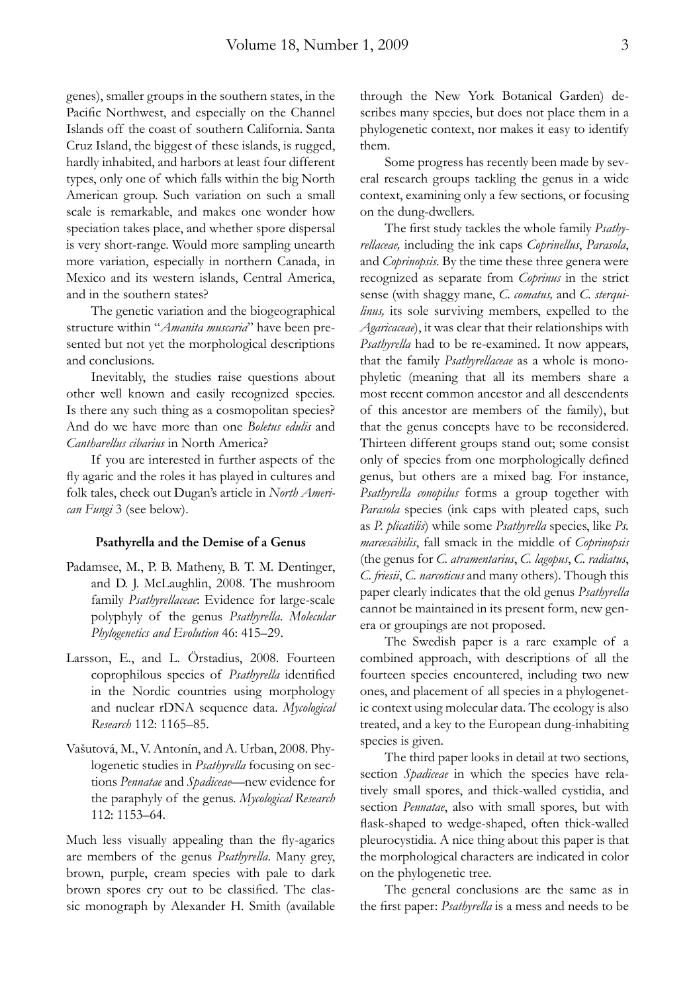genes), smaller groups in the southern states, in the Pacific Northwest, and especially on the Channel Islands off the coast of southern California. Santa Cruz Island, the biggest of these islands, is rugged, hardly inhabited, and harbors at least four different types, only one of which falls within the big North American group. Such variation on such a small scale is remarkable, and makes one wonder how speciation takes place, and whether spore dispersal is very short-range. Would more sampling unearth more variation, especially in northern Canada, in Mexico and its western islands, Central America, and in the southern states?

The genetic variation and the biogeographical structure within "*Amanita muscaria*" have been presented but not yet the morphological descriptions and conclusions.

Inevitably, the studies raise questions about other well known and easily recognized species. Is there any such thing as a cosmopolitan species? And do we have more than one *Boletus edulis* and *Cantharellus cibarius* in North America?

If you are interested in further aspects of the fly agaric and the roles it has played in cultures and folk tales, check out Dugan's article in *North American Fungi* 3 (see below).

## **Psathyrella and the Demise of a Genus**

- Padamsee, M., P. B. Matheny, B. T. M. Dentinger, and D. J. McLaughlin, 2008. The mushroom family *Psathyrellaceae*: Evidence for large-scale polyphyly of the genus *Psathyrella*. *Molecular Phylogenetics and Evolution* 46: 415–29.
- Larsson, E., and L. Örstadius, 2008. Fourteen coprophilous species of *Psathyrella* identified in the Nordic countries using morphology and nuclear rDNA sequence data. *Mycological Research* 112: 1165–85.
- Vašutová, M., V. Antonín, and A. Urban, 2008. Phylogenetic studies in *Psathyrella* focusing on sections *Pennatae* and *Spadiceae*—new evidence for the paraphyly of the genus. *Mycological Research* 112: 1153–64.

Much less visually appealing than the fly-agarics are members of the genus *Psathyrella*. Many grey, brown, purple, cream species with pale to dark brown spores cry out to be classified. The classic monograph by Alexander H. Smith (available

through the New York Botanical Garden) describes many species, but does not place them in a phy logenetic context, nor makes it easy to identify them.

Some progress has recently been made by several research groups tackling the genus in a wide context, examining only a few sections, or focusing on the dung-dwellers.

The first study tackles the whole family *Psathyrellaceae,* including the ink caps *Coprinellus*, *Parasola*, and *Coprinopsis*. By the time these three genera were recognized as separate from *Coprinus* in the strict sense (with shaggy mane, *C. comatus,* and *C. sterquilinus,* its sole surviving members, expelled to the *Agaricaceae*), it was clear that their relationships with *Psathyrella* had to be re-examined. It now appears, that the family *Psathyrellaceae* as a whole is monophyletic (meaning that all its members share a most recent common ancestor and all descendents of this ancestor are members of the family), but that the genus concepts have to be reconsidered. Thirteen different groups stand out; some consist only of species from one morphologically defined genus, but others are a mixed bag. For instance, *Psathyrella conopilus* forms a group together with *Parasola* species (ink caps with pleated caps, such as *P. plicatilis*) while some *Psathyrella* species, like *Ps. marcescibilis*, fall smack in the middle of *Coprinopsis*  (the genus for *C. atramentarius*, *C. lagopus*, *C. radiatus*, *C. friesii*, *C. narcoticus* and many others). Though this paper clearly indicates that the old genus *Psathyrella* cannot be maintained in its present form, new genera or groupings are not proposed.

The Swedish paper is a rare example of a combined approach, with descriptions of all the fourteen species encountered, including two new ones, and placement of all species in a phylogenetic context using molecular data. The ecology is also treated, and a key to the European dung-inhabiting species is given.

The third paper looks in detail at two sections, section *Spadiceae* in which the species have relatively small spores, and thick-walled cystidia, and section *Pennatae*, also with small spores, but with flask-shaped to wedge-shaped, often thick-walled pleurocystidia. A nice thing about this paper is that the morphological characters are indicated in color on the phylogenetic tree.

The general conclusions are the same as in the first paper: *Psathyrella* is a mess and needs to be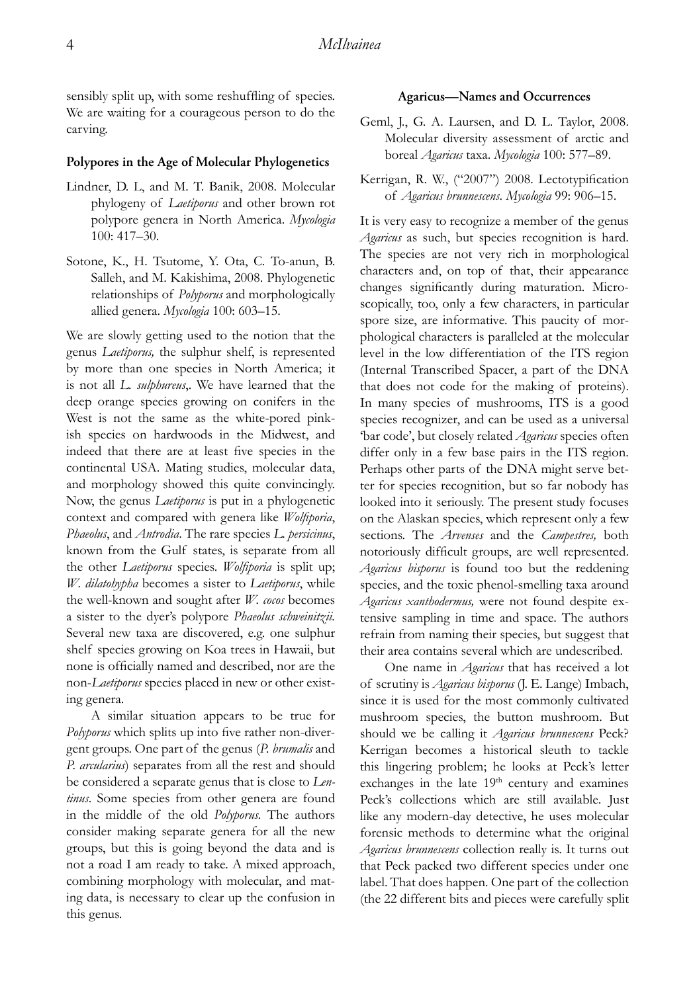sensibly split up, with some reshuffling of species. We are waiting for a courageous person to do the carving.

# **Polypores in the Age of Molecular Phylogenetics**

- Lindner, D. L, and M. T. Banik, 2008. Molecular phylogeny of *Laetiporus* and other brown rot polypore genera in North America. *Mycologia* 100: 417–30.
- Sotone, K., H. Tsutome, Y. Ota, C. To-anun, B. Salleh, and M. Kakishima, 2008. Phylogenetic relationships of *Polyporus* and morphologically allied genera. *Mycologia* 100: 603–15.

We are slowly getting used to the notion that the genus *Laetiporus,* the sulphur shelf, is represented by more than one species in North America; it is not all *L. sulphureus*,. We have learned that the deep orange species growing on conifers in the West is not the same as the white-pored pinkish species on hardwoods in the Midwest, and indeed that there are at least five species in the continental USA. Mating studies, molecular data, and morphology showed this quite convincingly. Now, the genus *Laetiporus* is put in a phylogenetic context and compared with genera like *Wolfiporia*, *Phaeolus*, and *Antrodia*. The rare species *L. persicinus*, known from the Gulf states, is separate from all the other *Laetiporus* species. *Wolfiporia* is split up; *W. dilatohypha* becomes a sister to *Laetiporus*, while the well-known and sought after *W. cocos* becomes a sister to the dyer's polypore *Phaeolus schweinitzii.* Several new taxa are discovered, e.g. one sulphur shelf species growing on Koa trees in Hawaii, but none is officially named and described, nor are the non-*Laetiporus* species placed in new or other existing genera.

A similar situation appears to be true for *Polyporus* which splits up into five rather non-divergent groups. One part of the genus (*P. brumalis* and *P. arcularius*) separates from all the rest and should be considered a separate genus that is close to *Lentinus*. Some species from other genera are found in the middle of the old *Polyporus.* The authors consider making separate genera for all the new groups, but this is going beyond the data and is not a road I am ready to take. A mixed approach, combining morphology with molecular, and mating data, is necessary to clear up the confusion in this genus.

#### **Agaricus—Names and Occurrences**

- Geml, J., G. A. Laursen, and D. L. Taylor, 2008. Molecular diversity assessment of arctic and boreal *Agaricus* taxa. *Mycologia* 100: 577–89.
- Kerrigan, R. W., ("2007") 2008. Lectotypification of *Agaricus brunnescens*. *Mycologia* 99: 906–15.

It is very easy to recognize a member of the genus *Agaricus* as such, but species recognition is hard. The species are not very rich in morphological characters and, on top of that, their appearance changes significantly during maturation. Microscopically, too, only a few characters, in particular spore size, are informative. This paucity of morphological characters is paralleled at the molecular level in the low differentiation of the ITS region (Internal Transcribed Spacer, a part of the DNA that does not code for the making of proteins). In many species of mushrooms, ITS is a good species recognizer, and can be used as a universal 'bar code', but closely related *Agaricus* species often differ only in a few base pairs in the ITS region. Perhaps other parts of the DNA might serve better for species recognition, but so far nobody has looked into it seriously. The present study focuses on the Alaskan species, which represent only a few sections. The *Arvenses* and the *Campestres,* both notoriously difficult groups, are well represented. *Agaricus bisporus* is found too but the reddening species, and the toxic phenol-smelling taxa around *Agaricus xanthodermus,* were not found despite extensive sampling in time and space. The authors refrain from naming their species, but suggest that their area contains several which are undescribed.

One name in *Agaricus* that has received a lot of scrutiny is *Agaricus bisporus* (J. E. Lange) Imbach, since it is used for the most commonly cultivated mushroom species, the button mushroom. But should we be calling it *Agaricus brunnescens* Peck? Kerrigan becomes a historical sleuth to tackle this lingering problem; he looks at Peck's letter exchanges in the late  $19<sup>th</sup>$  century and examines Peck's collections which are still available. Just like any modern-day detective, he uses molecular forensic methods to determine what the original *Agaricus brunnescens* collection really is. It turns out that Peck packed two different species under one label. That does happen. One part of the collection (the 22 different bits and pieces were carefully split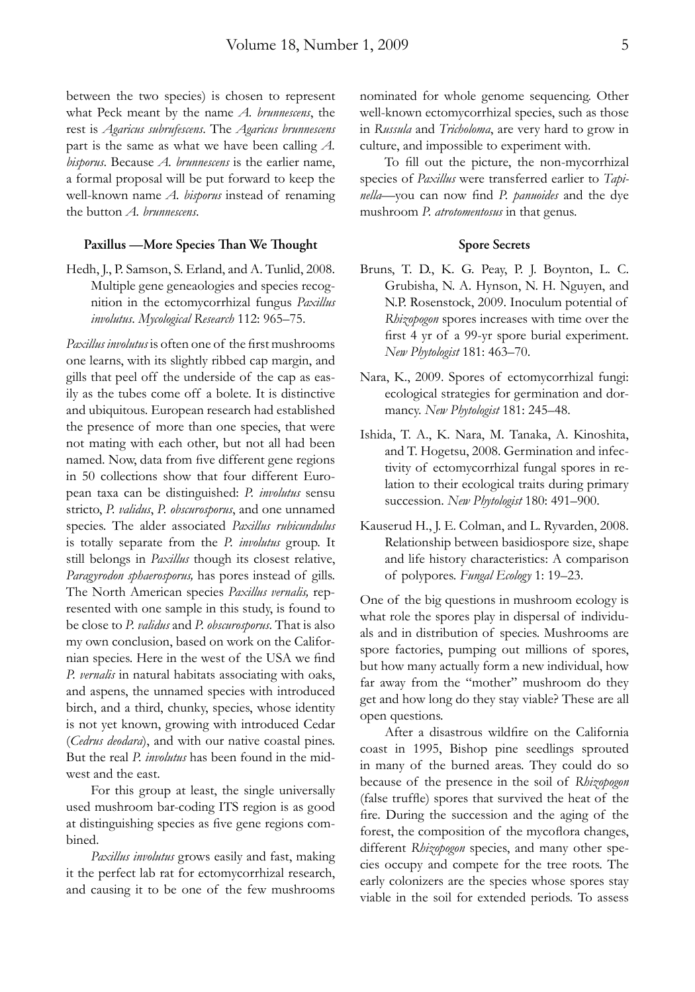between the two species) is chosen to represent what Peck meant by the name *A. brunnescens*, the rest is *Agaricus subrufescens*. The *Agaricus brunnescens* part is the same as what we have been calling *A. bisporus*. Because *A. brunnescens* is the earlier name, a formal proposal will be put forward to keep the well-known name *A. bisporus* instead of renaming the button *A. brunnescens*.

## Paxillus —More Species Than We Thought

Hedh, J., P. Samson, S. Erland, and A. Tunlid, 2008. Multiple gene geneaologies and species recognition in the ectomycorrhizal fungus *Paxillus involutus*. *Mycological Research* 112: 965–75.

*Paxillus involutus* is often one of the first mushrooms one learns, with its slightly ribbed cap margin, and gills that peel off the underside of the cap as easily as the tubes come off a bolete. It is distinctive and ubiquitous. European research had established the presence of more than one species, that were not mating with each other, but not all had been named. Now, data from five different gene regions in 50 collections show that four different European taxa can be distinguished: *P. involutus* sensu stricto, *P. validus*, *P. obscurosporus*, and one unnamed species. The alder associated *Paxillus rubicundulus* is totally separate from the *P. involutus* group. It still belongs in *Paxillus* though its closest relative, *Paragyrodon sphaerosporus,* has pores instead of gills. The North American species *Paxillus vernalis,* represented with one sample in this study, is found to be close to *P. validus* and *P. obscurosporus*. That is also my own conclusion, based on work on the Californian species. Here in the west of the USA we find *P. vernalis* in natural habitats associating with oaks, and aspens, the unnamed species with introduced birch, and a third, chunky, species, whose identity is not yet known, growing with introduced Cedar (*Cedrus deodara*), and with our native coastal pines. But the real *P. involutus* has been found in the midwest and the east.

For this group at least, the single universally used mushroom bar-coding ITS region is as good at distinguishing species as five gene regions combined.

*Paxillus involutus* grows easily and fast, making it the perfect lab rat for ectomycorrhizal research, and causing it to be one of the few mushrooms nominated for whole genome sequencing. Other well-known ectomycorrhizal species, such as those in *Russula* and *Tricholoma*, are very hard to grow in culture, and impossible to experiment with.

To fill out the picture, the non-mycorrhizal species of *Paxillus* were transferred earlier to *Tapinella*—you can now find *P. panuoides* and the dye mushroom *P. atrotomentosus* in that genus.

## **Spore Secrets**

- Bruns, T. D., K. G. Peay, P. J. Boynton, L. C. Grubisha, N. A. Hynson, N. H. Nguyen, and N.P. Rosenstock, 2009. Inoculum potential of *Rhizopogon* spores increases with time over the first 4 yr of a 99-yr spore burial experiment. *New Phytologist* 181: 463–70.
- Nara, K., 2009. Spores of ectomycorrhizal fungi: ecological strategies for germination and dormancy. *New Phytologist* 181: 245–48.
- Ishida, T. A., K. Nara, M. Tanaka, A. Kinoshita, and T. Hogetsu, 2008. Germination and infectivity of ectomycorrhizal fungal spores in relation to their ecological traits during primary succession. *New Phytologist* 180: 491–900.
- Kauserud H., J. E. Colman, and L. Ryvarden, 2008. Relationship between basidiospore size, shape and life history characteristics: A comparison of polypores. *Fungal Ecology* 1: 19–23.

One of the big questions in mushroom ecology is what role the spores play in dispersal of individuals and in distribution of species. Mushrooms are spore factories, pumping out millions of spores, but how many actually form a new individual, how far away from the "mother" mushroom do they get and how long do they stay viable? These are all open questions.

After a disastrous wildfire on the California coast in 1995, Bishop pine seedlings sprouted in many of the burned areas. They could do so because of the presence in the soil of *Rhizopogon* (false truffle) spores that survived the heat of the fire. During the succession and the aging of the forest, the composition of the mycoflora changes, different *Rhizopogon* species, and many other species occupy and compete for the tree roots. The early colonizers are the species whose spores stay viable in the soil for extended periods. To assess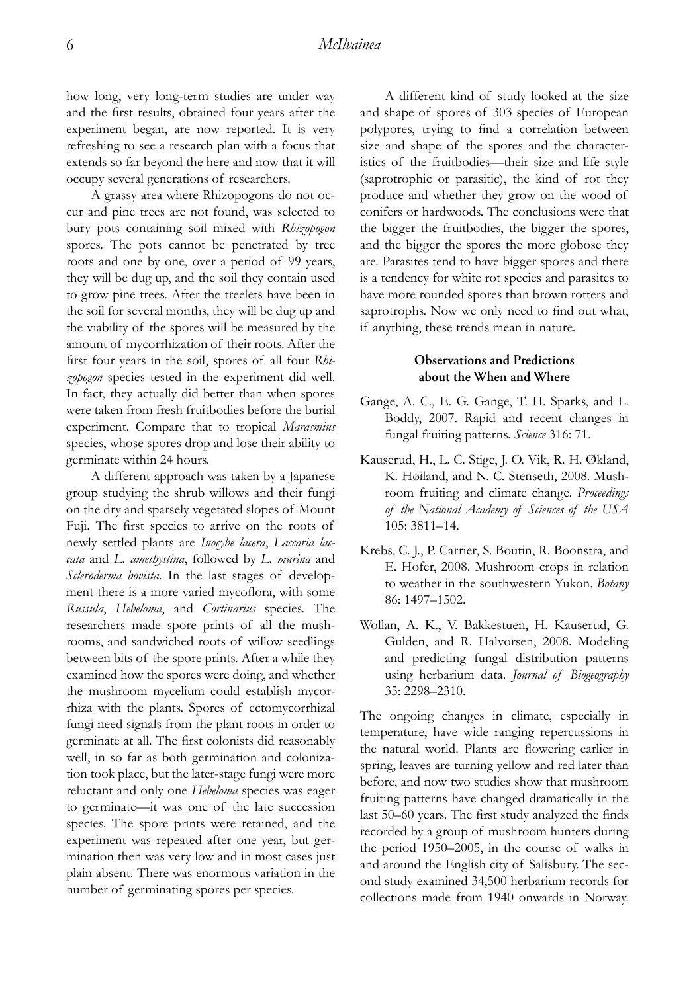how long, very long-term studies are under way and the first results, obtained four years after the experiment began, are now reported. It is very refreshing to see a research plan with a focus that extends so far beyond the here and now that it will occupy several generations of researchers.

A grassy area where Rhizopogons do not occur and pine trees are not found, was selected to bury pots containing soil mixed with *Rhizopogon* spores. The pots cannot be penetrated by tree roots and one by one, over a period of 99 years, they will be dug up, and the soil they contain used to grow pine trees. After the treelets have been in the soil for several months, they will be dug up and the viability of the spores will be measured by the amount of mycorrhization of their roots. After the first four years in the soil, spores of all four *Rhizopogon* species tested in the experiment did well. In fact, they actually did better than when spores were taken from fresh fruitbodies before the burial experiment. Compare that to tropical *Marasmius* species, whose spores drop and lose their ability to germinate within 24 hours.

A different approach was taken by a Japanese group studying the shrub willows and their fungi on the dry and sparsely vegetated slopes of Mount Fuji. The first species to arrive on the roots of newly settled plants are *Inocybe lacera*, *Laccaria laccata* and *L. amethystina*, followed by *L. murina* and *Scleroderma bovista*. In the last stages of development there is a more varied mycoflora, with some *Russula*, *Hebeloma*, and *Cortinarius* species. The researchers made spore prints of all the mushrooms, and sandwiched roots of willow seedlings between bits of the spore prints. After a while they examined how the spores were doing, and whether the mushroom mycelium could establish mycorrhiza with the plants. Spores of ectomycorrhizal fungi need signals from the plant roots in order to germinate at all. The first colonists did reasonably well, in so far as both germination and colonization took place, but the later-stage fungi were more reluctant and only one *Hebeloma* species was eager to germinate—it was one of the late succession species. The spore prints were retained, and the experiment was repeated after one year, but germination then was very low and in most cases just plain absent. There was enormous variation in the number of germinating spores per species.

A different kind of study looked at the size and shape of spores of 303 species of European polypores, trying to find a correlation between size and shape of the spores and the characteristics of the fruitbodies—their size and life style (saprotrophic or parasitic), the kind of rot they produce and whether they grow on the wood of conifers or hardwoods. The conclusions were that the bigger the fruitbodies, the bigger the spores, and the bigger the spores the more globose they are. Parasites tend to have bigger spores and there is a tendency for white rot species and parasites to have more rounded spores than brown rotters and saprotrophs. Now we only need to find out what, if anything, these trends mean in nature.

# **Observations and Predictions about the When and Where**

- Gange, A. C., E. G. Gange, T. H. Sparks, and L. Boddy, 2007. Rapid and recent changes in fungal fruiting patterns. *Science* 316: 71.
- Kauserud, H., L. C. Stige, J. O. Vik, R. H. Økland, K. Høiland, and N. C. Stenseth, 2008. Mushroom fruiting and climate change. *Proceedings of the National Academy of Sciences of the USA*  105: 3811–14.
- Krebs, C. J., P. Carrier, S. Boutin, R. Boonstra, and E. Hofer, 2008. Mushroom crops in relation to weather in the southwestern Yukon. *Botany* 86: 1497–1502.
- Wollan, A. K., V. Bakkestuen, H. Kauserud, G. Gulden, and R. Halvorsen, 2008. Modeling and predicting fungal distribution patterns using herbarium data. *Journal of Biogeography* 35: 2298–2310.

The ongoing changes in climate, especially in temperature, have wide ranging repercussions in the natural world. Plants are flowering earlier in spring, leaves are turning yellow and red later than before, and now two studies show that mushroom fruiting patterns have changed dramatically in the last 50–60 years. The first study analyzed the finds recorded by a group of mushroom hunters during the period 1950–2005, in the course of walks in and around the English city of Salisbury. The second study examined 34,500 herbarium records for collections made from 1940 onwards in Norway.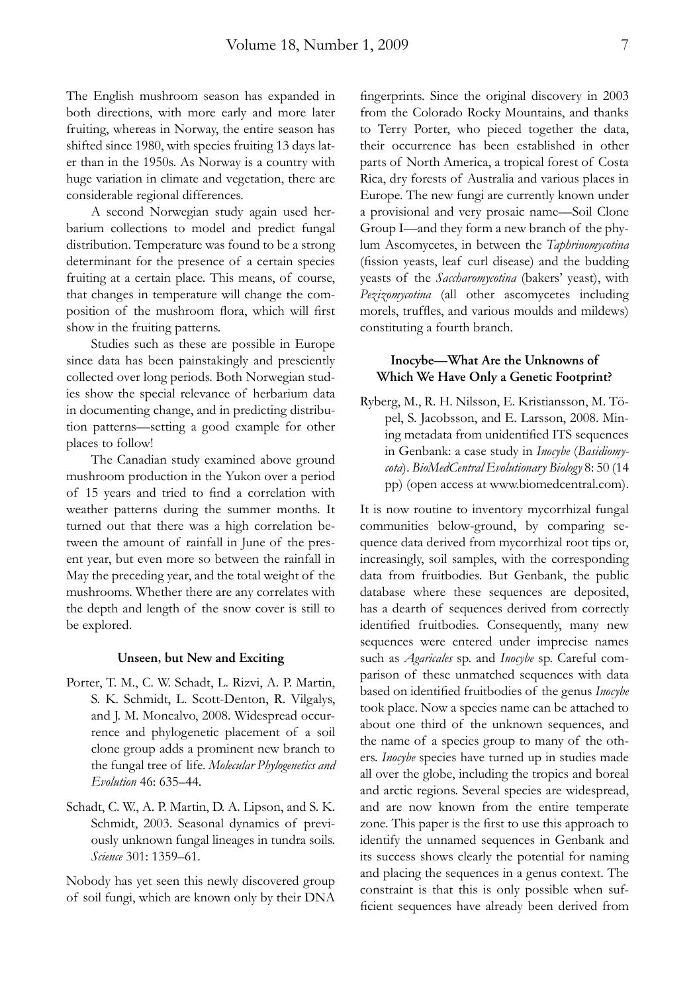The English mushroom season has expanded in both directions, with more early and more later fruiting, whereas in Norway, the entire season has shifted since 1980, with species fruiting 13 days later than in the 1950s. As Norway is a country with huge variation in climate and vegetation, there are considerable regional differences.

A second Norwegian study again used herbarium collections to model and predict fungal distribution. Temperature was found to be a strong determinant for the presence of a certain species fruiting at a certain place. This means, of course, that changes in temperature will change the composition of the mushroom flora, which will first show in the fruiting patterns.

Studies such as these are possible in Europe since data has been painstakingly and presciently collected over long periods. Both Norwegian studies show the special relevance of herbarium data in documenting change, and in predicting distribution patterns—setting a good example for other places to follow!

The Canadian study examined above ground mushroom production in the Yukon over a period of 15 years and tried to find a correlation with weather patterns during the summer months. It turned out that there was a high correlation between the amount of rainfall in June of the present year, but even more so between the rainfall in May the preceding year, and the total weight of the mushrooms. Whether there are any correlates with the depth and length of the snow cover is still to be explored.

### **Unseen, but New and Exciting**

- Porter, T. M., C. W. Schadt, L. Rizvi, A. P. Martin, S. K. Schmidt, L. Scott-Denton, R. Vilgalys, and J. M. Moncalvo, 2008. Widespread occurrence and phylogenetic placement of a soil clone group adds a prominent new branch to the fungal tree of life. *Molecular Phylogenetics and Evolution* 46: 635–44.
- Schadt, C. W., A. P. Martin, D. A. Lipson, and S. K. Schmidt, 2003. Seasonal dynamics of previously unknown fungal lineages in tundra soils. *Science* 301: 1359–61.

Nobody has yet seen this newly discovered group of soil fungi, which are known only by their DNA

fingerprints. Since the original discovery in 2003 from the Colorado Rocky Mountains, and thanks to Terry Porter, who pieced together the data, their occurrence has been established in other parts of North America, a tropical forest of Costa Rica, dry forests of Australia and various places in Europe. The new fungi are currently known under a provisional and very prosaic name—Soil Clone Group I—and they form a new branch of the phylum Ascomycetes, in between the *Taphrinomycotina* (fission yeasts, leaf curl disease) and the budding yeasts of the *Saccharomycotina* (bakers' yeast), with *Pezizomycotina* (all other ascomycetes including morels, truffles, and various moulds and mildews) constituting a fourth branch.

# **Inocybe—What Are the Unknowns of Which We Have Only a Genetic Footprint?**

Ryberg, M., R. H. Nilsson, E. Kristiansson, M. Töpel, S. Jacobsson, and E. Larsson, 2008. Mining metadata from unidentified ITS sequences in Genbank: a case study in *Inocybe* (*Basidiomycota*). *BioMedCentral Evolutionary Biology* 8: 50 (14 pp) (open access at www.biomedcentral.com).

It is now routine to inventory mycorrhizal fungal communities below-ground, by comparing sequence data derived from mycorrhizal root tips or, increasingly, soil samples, with the corresponding data from fruitbodies. But Genbank, the public database where these sequences are deposited, has a dearth of sequences derived from correctly identified fruitbodies. Consequently, many new sequences were entered under imprecise names such as *Agaricales* sp. and *Inocybe* sp. Careful comparison of these unmatched sequences with data based on identified fruitbodies of the genus *Inocybe* took place. Now a species name can be attached to about one third of the unknown sequences, and the name of a species group to many of the others. *Inocybe* species have turned up in studies made all over the globe, including the tropics and boreal and arctic regions. Several species are widespread, and are now known from the entire temperate zone. This paper is the first to use this approach to identify the unnamed sequences in Genbank and its success shows clearly the potential for naming and placing the sequences in a genus context. The constraint is that this is only possible when sufficient sequences have already been derived from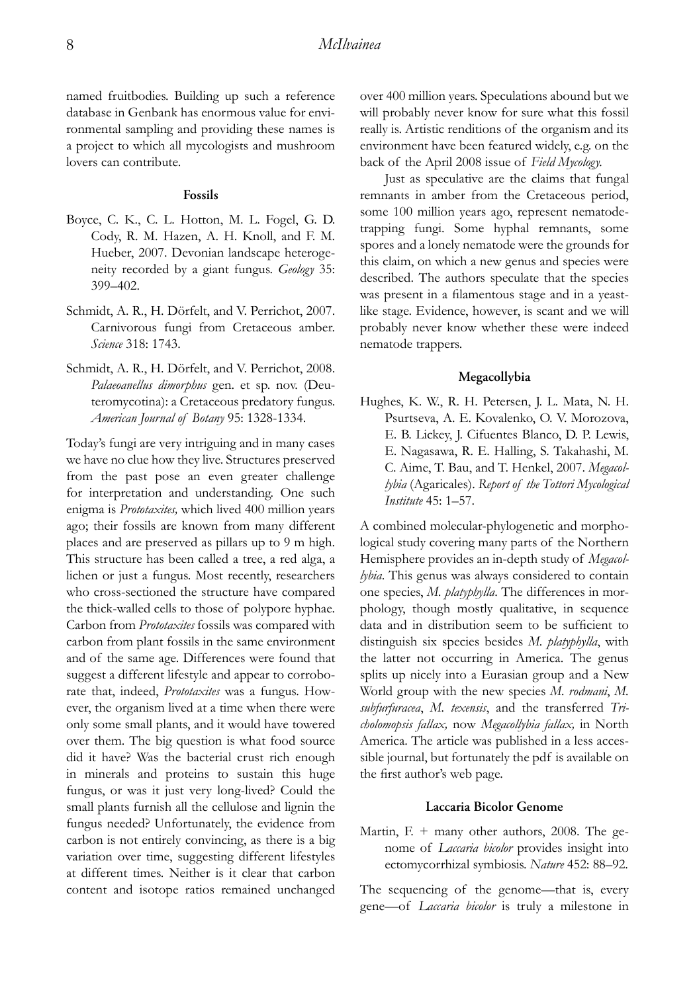named fruitbodies. Building up such a reference database in Genbank has enormous value for environmental sampling and providing these names is a project to which all mycologists and mushroom lovers can contribute.

#### **Fossils**

- Boyce, C. K., C. L. Hotton, M. L. Fogel, G. D. Cody, R. M. Hazen, A. H. Knoll, and F. M. Hueber, 2007. Devonian landscape heterogeneity recorded by a giant fungus. *Geology* 35: 399–402.
- Schmidt, A. R., H. Dörfelt, and V. Perrichot, 2007. Carnivorous fungi from Cretaceous amber. *Science* 318: 1743.
- Schmidt, A. R., H. Dörfelt, and V. Perrichot, 2008. *Palaeoanellus dimorphus* gen. et sp. nov. (Deuteromycotina): a Cretaceous predatory fungus. *American Journal of Botany* 95: 1328-1334.

Today's fungi are very intriguing and in many cases we have no clue how they live. Structures preserved from the past pose an even greater challenge for interpretation and understanding. One such enigma is *Prototaxites,* which lived 400 million years ago; their fossils are known from many different places and are preserved as pillars up to 9 m high. This structure has been called a tree, a red alga, a lichen or just a fungus. Most recently, researchers who cross-sectioned the structure have compared the thick-walled cells to those of polypore hyphae. Carbon from *Prototaxites* fossils was compared with carbon from plant fossils in the same environment and of the same age. Differences were found that suggest a different lifestyle and appear to corroborate that, indeed, *Prototaxites* was a fungus. However, the organism lived at a time when there were only some small plants, and it would have towered over them. The big question is what food source did it have? Was the bacterial crust rich enough in minerals and proteins to sustain this huge fungus, or was it just very long-lived? Could the small plants furnish all the cellulose and lignin the fungus needed? Unfortunately, the evidence from carbon is not entirely convincing, as there is a big variation over time, suggesting different lifestyles at different times. Neither is it clear that carbon content and isotope ratios remained unchanged over 400 million years. Speculations abound but we will probably never know for sure what this fossil really is. Artistic renditions of the organism and its environment have been featured widely, e.g. on the back of the April 2008 issue of *Field Mycology.*

Just as speculative are the claims that fungal remnants in amber from the Cretaceous period, some 100 million years ago, represent nematodetrapping fungi. Some hyphal remnants, some spores and a lonely nematode were the grounds for this claim, on which a new genus and species were described. The authors speculate that the species was present in a filamentous stage and in a yeastlike stage. Evidence, however, is scant and we will probably never know whether these were indeed nematode trappers.

### **Megacollybia**

Hughes, K. W., R. H. Petersen, J. L. Mata, N. H. Psurtseva, A. E. Kovalenko, O. V. Morozova, E. B. Lickey, J. Cifuentes Blanco, D. P. Lewis, E. Nagasawa, R. E. Halling, S. Takahashi, M. C. Aime, T. Bau, and T. Henkel, 2007. *Megacollybia* (Agaricales). *Report of the Tottori Mycological Institute* 45: 1–57.

A combined molecular-phylogenetic and morphological study covering many parts of the Northern Hemisphere provides an in-depth study of *Megacollybia*. This genus was always considered to contain one species, *M. platyphylla*. The differences in morphology, though mostly qualitative, in sequence data and in distribution seem to be sufficient to distinguish six species besides *M. platyphylla*, with the latter not occurring in America. The genus splits up nicely into a Eurasian group and a New World group with the new species *M. rodmani*, *M. subfurfuracea*, *M. texensis*, and the transferred *Tricholomopsis fallax,* now *Megacollybia fallax,* in North America. The article was published in a less accessible journal, but fortunately the pdf is available on the first author's web page.

#### **Laccaria Bicolor Genome**

Martin, F. + many other authors, 2008. The genome of *Laccaria bicolor* provides insight into ectomycorrhizal symbiosis. *Nature* 452: 88–92.

The sequencing of the genome—that is, every gene—of *Laccaria bicolor* is truly a milestone in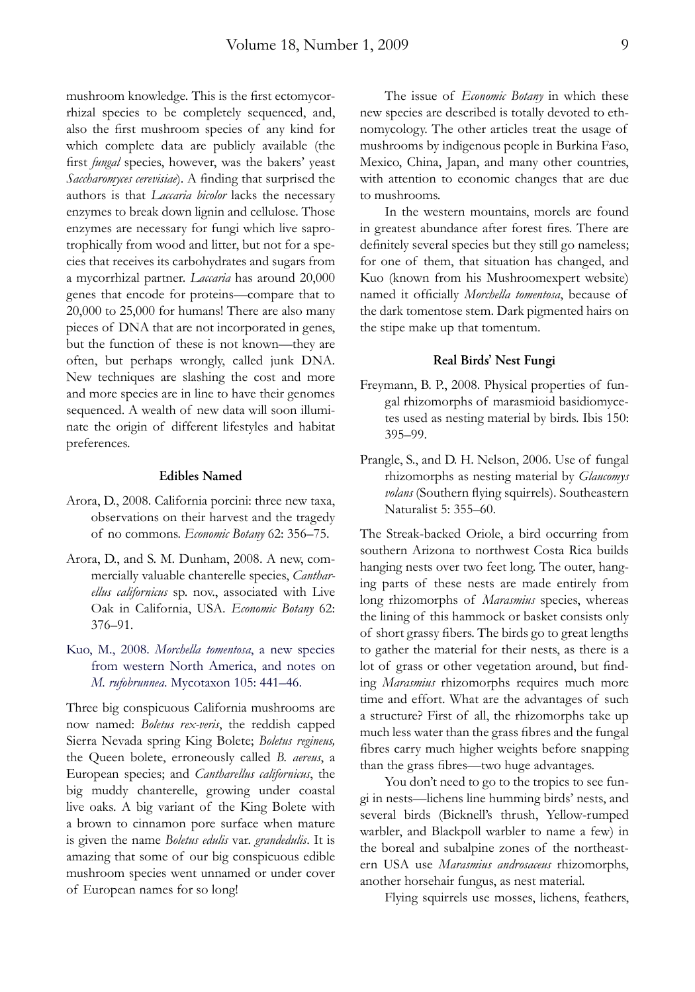mushroom knowledge. This is the first ectomycorrhizal species to be completely sequenced, and, also the first mushroom species of any kind for which complete data are publicly available (the first *fungal* species, however, was the bakers' yeast *Saccharomyces cerevisiae*). A finding that surprised the authors is that *Laccaria bicolor* lacks the necessary enzymes to break down lignin and cellulose. Those enzymes are necessary for fungi which live saprotrophically from wood and litter, but not for a species that receives its carbohydrates and sugars from a mycorrhizal partner. *Laccaria* has around 20,000 genes that encode for proteins—compare that to 20,000 to 25,000 for humans! There are also many pieces of DNA that are not incorporated in genes, but the function of these is not known—they are often, but perhaps wrongly, called junk DNA. New techniques are slashing the cost and more and more species are in line to have their genomes sequenced. A wealth of new data will soon illuminate the origin of different lifestyles and habitat preferences.

#### **Edibles Named**

- Arora, D., 2008. California porcini: three new taxa, observations on their harvest and the tragedy of no commons. *Economic Botany* 62: 356–75.
- Arora, D., and S. M. Dunham, 2008. A new, commercially valuable chanterelle species, *Cantharellus californicus* sp. nov., associated with Live Oak in California, USA. *Economic Botany* 62: 376–91.
- Kuo, M., 2008. *Morchella tomentosa*, a new species from western North America, and notes on *M. rufobrunnea*. Mycotaxon 105: 441–46.

Three big conspicuous California mushrooms are now named: *Boletus rex-veris*, the reddish capped Sierra Nevada spring King Bolete; *Boletus regineus,* the Queen bolete, erroneously called *B. aereus*, a European species; and *Cantharellus californicus*, the big muddy chanterelle, growing under coastal live oaks. A big variant of the King Bolete with a brown to cinnamon pore surface when mature is given the name *Boletus edulis* var. *grandedulis*. It is amazing that some of our big conspicuous edible mushroom species went unnamed or under cover of European names for so long!

The issue of *Economic Botany* in which these new species are described is totally devoted to ethnomycology. The other articles treat the usage of mushrooms by indigenous people in Burkina Faso, Mexico, China, Japan, and many other countries, with attention to economic changes that are due to mushrooms.

In the western mountains, morels are found in greatest abundance after forest fires. There are definitely several species but they still go nameless; for one of them, that situation has changed, and Kuo (known from his Mushroomexpert website) named it officially *Morchella tomentosa*, because of the dark tomentose stem. Dark pigmented hairs on the stipe make up that tomentum.

#### **Real Birds' Nest Fungi**

- Freymann, B. P., 2008. Physical properties of fungal rhizomorphs of marasmioid basidiomycetes used as nesting material by birds. Ibis 150: 395–99.
- Prangle, S., and D. H. Nelson, 2006. Use of fungal rhizomorphs as nesting material by *Glaucomys*  volans (Southern flying squirrels). Southeastern Naturalist 5: 355–60.

The Streak-backed Oriole, a bird occurring from southern Arizona to northwest Costa Rica builds hanging nests over two feet long. The outer, hanging parts of these nests are made entirely from long rhizomorphs of *Marasmius* species, whereas the lining of this hammock or basket consists only of short grassy fibers. The birds go to great lengths to gather the material for their nests, as there is a lot of grass or other vegetation around, but finding *Marasmius* rhizomorphs requires much more time and effort. What are the advantages of such a structure? First of all, the rhizomorphs take up much less water than the grass fibres and the fungal fibres carry much higher weights before snapping than the grass fibres—two huge advantages.

You don't need to go to the tropics to see fungi in nests—lichens line humming birds' nests, and several birds (Bicknell's thrush, Yellow-rumped warbler, and Blackpoll warbler to name a few) in the boreal and subalpine zones of the northeastern USA use *Marasmius androsaceus* rhizomorphs, another horsehair fungus, as nest material.

Flying squirrels use mosses, lichens, feathers,